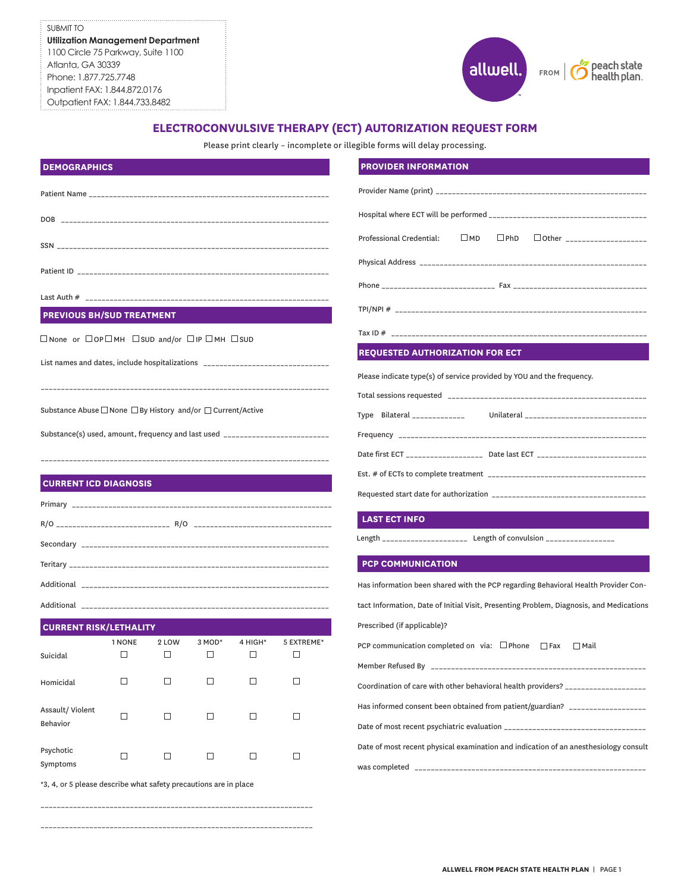SUBMIT TO **Utilization Management Department** 1100 Circle 75 Parkway, Suite 1100 Atlanta, GA 30339 Phone: 1.877.725.7748 Inpatient FAX: 1.844.872.0176 Outpatient FAX: 1.844.733.8482



# **ELECTROCONVULSIVE THERAPY (ECT) AUTORIZATION REQUEST FORM**

Please print clearly – incomplete or illegible forms will delay processing.

|                                                                                     |        |        |        |         |            | $\square$ PhD<br>□ Other _____________________<br>Professional Credential:<br>$\square$ MD                             |  |  |  |  |
|-------------------------------------------------------------------------------------|--------|--------|--------|---------|------------|------------------------------------------------------------------------------------------------------------------------|--|--|--|--|
|                                                                                     |        |        |        |         |            |                                                                                                                        |  |  |  |  |
|                                                                                     |        |        |        |         |            |                                                                                                                        |  |  |  |  |
|                                                                                     |        |        |        |         |            |                                                                                                                        |  |  |  |  |
| <b>PREVIOUS BH/SUD TREATMENT</b>                                                    |        |        |        |         |            |                                                                                                                        |  |  |  |  |
| $\Box$ None or $\Box$ OP $\Box$ MH $\Box$ SUD and/or $\Box$ IP $\Box$ MH $\Box$ SUD |        |        |        |         |            |                                                                                                                        |  |  |  |  |
| List names and dates, include hospitalizations _________________________________    |        |        |        |         |            | <b>REQUESTED AUTHORIZATION FOR ECT</b>                                                                                 |  |  |  |  |
|                                                                                     |        |        |        |         |            | Please indicate type(s) of service provided by YOU and the frequency.                                                  |  |  |  |  |
| Substance Abuse □ None □ By History and/or □ Current/Active                         |        |        |        |         |            |                                                                                                                        |  |  |  |  |
| Substance(s) used, amount, frequency and last used _____________________________    |        |        |        |         |            |                                                                                                                        |  |  |  |  |
|                                                                                     |        |        |        |         |            | Date first ECT _______________________ Date last ECT ___________________________                                       |  |  |  |  |
|                                                                                     |        |        |        |         |            |                                                                                                                        |  |  |  |  |
| <b>CURRENT ICD DIAGNOSIS</b>                                                        |        |        |        |         |            |                                                                                                                        |  |  |  |  |
|                                                                                     |        |        |        |         |            | <b>LAST ECT INFO</b>                                                                                                   |  |  |  |  |
|                                                                                     |        |        |        |         |            | Length _____________________ Length of convulsion ________________                                                     |  |  |  |  |
|                                                                                     |        |        |        |         |            |                                                                                                                        |  |  |  |  |
|                                                                                     |        |        |        |         |            | <b>PCP COMMUNICATION</b>                                                                                               |  |  |  |  |
|                                                                                     |        |        |        |         |            | Has information been shared with the PCP regarding Behavioral Health Provider Con-                                     |  |  |  |  |
|                                                                                     |        |        |        |         |            | tact Information, Date of Initial Visit, Presenting Problem, Diagnosis, and Medications<br>Prescribed (if applicable)? |  |  |  |  |
| <b>CURRENT RISK/LETHALITY</b>                                                       | 1 NONE | 2 LOW  | 3 MOD* | 4 HIGH* | 5 EXTREME* | PCP communication completed on via: $\Box$ Phone $\Box$ Fax $\Box$ Mail                                                |  |  |  |  |
| Suicidal                                                                            | □      | □      | □      | □       | □          |                                                                                                                        |  |  |  |  |
| Homicidal                                                                           | □      | □      | □      | □       | $\Box$     | Coordination of care with other behavioral health providers? ___________________                                       |  |  |  |  |
| Assault/Violent                                                                     |        |        |        |         |            | Has informed consent been obtained from patient/guardian? ______________________                                       |  |  |  |  |
| Behavior                                                                            | □      | □      | □      | □       | □          |                                                                                                                        |  |  |  |  |
| Psychotic                                                                           |        |        |        |         |            | Date of most recent physical examination and indication of an anesthesiology consult                                   |  |  |  |  |
| Symptoms                                                                            | □      | $\Box$ | $\Box$ | □       | $\Box$     |                                                                                                                        |  |  |  |  |
| *3, 4, or 5 please describe what safety precautions are in place                    |        |        |        |         |            |                                                                                                                        |  |  |  |  |